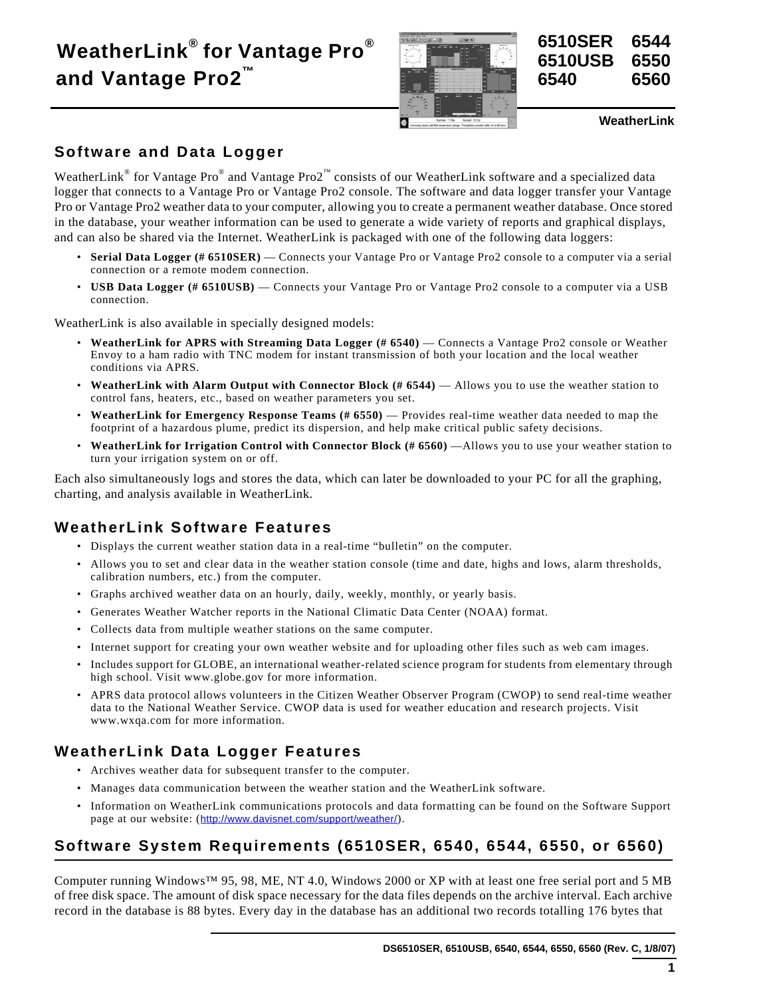# **WeatherLink® for Vantage Pro® and Vantage Pro2™**





**WeatherLink**

# **Software and Data Logger**

WeatherLink® for Vantage Pro® and Vantage Pro2<sup>™</sup> consists of our WeatherLink software and a specialized data logger that connects to a Vantage Pro or Vantage Pro2 console. The software and data logger transfer your Vantage Pro or Vantage Pro2 weather data to your computer, allowing you to create a permanent weather database. Once stored in the database, your weather information can be used to generate a wide variety of reports and graphical displays, and can also be shared via the Internet. WeatherLink is packaged with one of the following data loggers:

- **Serial Data Logger (# 6510SER)**  Connects your Vantage Pro or Vantage Pro2 console to a computer via a serial connection or a remote modem connection.
- **USB Data Logger (# 6510USB)** Connects your Vantage Pro or Vantage Pro2 console to a computer via a USB connection.

WeatherLink is also available in specially designed models:

- **WeatherLink for APRS with Streaming Data Logger (# 6540)** Connects a Vantage Pro2 console or Weather Envoy to a ham radio with TNC modem for instant transmission of both your location and the local weather conditions via APRS.
- **WeatherLink with Alarm Output with Connector Block (# 6544)** Allows you to use the weather station to control fans, heaters, etc., based on weather parameters you set.
- **WeatherLink for Emergency Response Teams (# 6550)** Provides real-time weather data needed to map the footprint of a hazardous plume, predict its dispersion, and help make critical public safety decisions.
- **WeatherLink for Irrigation Control with Connector Block (# 6560)** —Allows you to use your weather station to turn your irrigation system on or off.

Each also simultaneously logs and stores the data, which can later be downloaded to your PC for all the graphing, charting, and analysis available in WeatherLink.

# **WeatherLink Software Features**

- Displays the current weather station data in a real-time "bulletin" on the computer.
- Allows you to set and clear data in the weather station console (time and date, highs and lows, alarm thresholds, calibration numbers, etc.) from the computer.
- Graphs archived weather data on an hourly, daily, weekly, monthly, or yearly basis.
- Generates Weather Watcher reports in the National Climatic Data Center (NOAA) format.
- Collects data from multiple weather stations on the same computer.
- Internet support for creating your own weather website and for uploading other files such as web cam images.
- Includes support for GLOBE, an international weather-related science program for students from elementary through high school. Visit www.globe.gov for more information.
- APRS data protocol allows volunteers in the Citizen Weather Observer Program (CWOP) to send real-time weather data to the National Weather Service. CWOP data is used for weather education and research projects. Visit www.wxqa.com for more information.

# **WeatherLink Data Logger Features**

- Archives weather data for subsequent transfer to the computer.
- Manages data communication between the weather station and the WeatherLink software.
- Information on WeatherLink communications protocols and data formatting can be found on the Software Support page at our website: (http://www.davisnet.com/support/weather/).

# **Software System Requirements (6510SER, 6540, 6544, 6550, or 6560)**

Computer running Windows™ 95, 98, ME, NT 4.0, Windows 2000 or XP with at least one free serial port and 5 MB of free disk space. The amount of disk space necessary for the data files depends on the archive interval. Each archive record in the database is 88 bytes. Every day in the database has an additional two records totalling 176 bytes that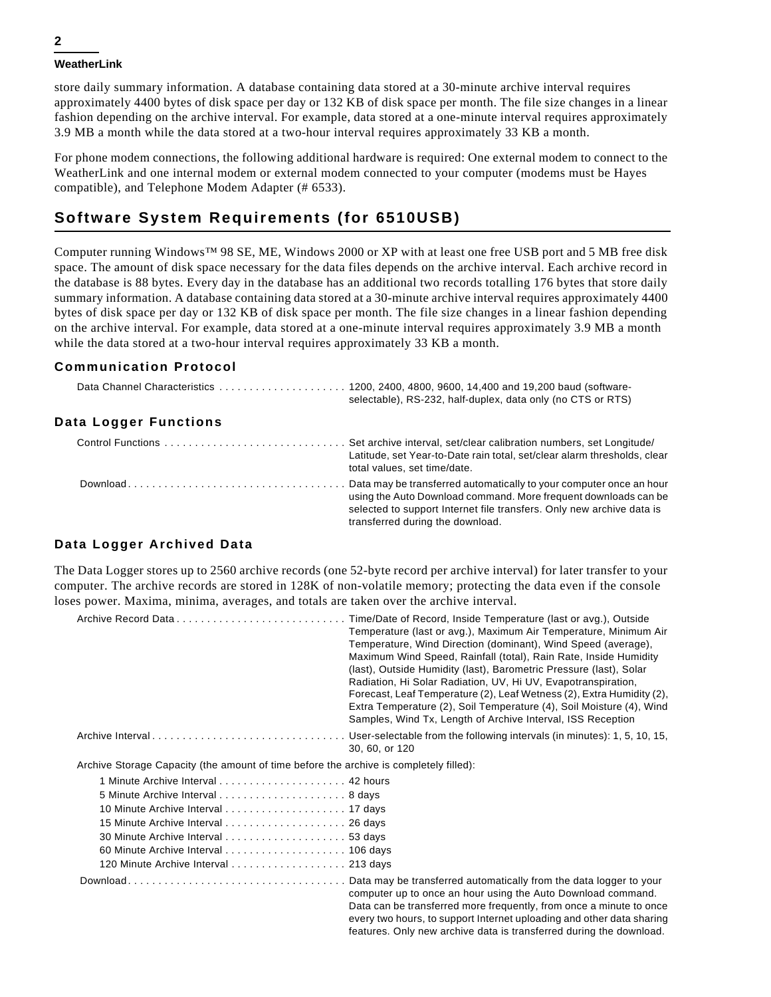#### **WeatherLink**

store daily summary information. A database containing data stored at a 30-minute archive interval requires approximately 4400 bytes of disk space per day or 132 KB of disk space per month. The file size changes in a linear fashion depending on the archive interval. For example, data stored at a one-minute interval requires approximately 3.9 MB a month while the data stored at a two-hour interval requires approximately 33 KB a month.

For phone modem connections, the following additional hardware is required: One external modem to connect to the WeatherLink and one internal modem or external modem connected to your computer (modems must be Hayes compatible), and Telephone Modem Adapter (# 6533).

### **Software System Requirements (for 6510USB)**

Computer running Windows™ 98 SE, ME, Windows 2000 or XP with at least one free USB port and 5 MB free disk space. The amount of disk space necessary for the data files depends on the archive interval. Each archive record in the database is 88 bytes. Every day in the database has an additional two records totalling 176 bytes that store daily summary information. A database containing data stored at a 30-minute archive interval requires approximately 4400 bytes of disk space per day or 132 KB of disk space per month. The file size changes in a linear fashion depending on the archive interval. For example, data stored at a one-minute interval requires approximately 3.9 MB a month while the data stored at a two-hour interval requires approximately 33 KB a month.

### **Communication Protocol**

|                       | selectable), RS-232, half-duplex, data only (no CTS or RTS)                                                                                                                                                                                         |
|-----------------------|-----------------------------------------------------------------------------------------------------------------------------------------------------------------------------------------------------------------------------------------------------|
| Data Logger Functions |                                                                                                                                                                                                                                                     |
|                       | Set archive interval, set/clear calibration numbers, set Longitude/<br>Latitude, set Year-to-Date rain total, set/clear alarm thresholds, clear<br>total values, set time/date.                                                                     |
|                       | Data may be transferred automatically to your computer once an hour<br>using the Auto Download command. More frequent downloads can be<br>selected to support Internet file transfers. Only new archive data is<br>transferred during the download. |

### **Data Logger Archived Data**

The Data Logger stores up to 2560 archive records (one 52-byte record per archive interval) for later transfer to your computer. The archive records are stored in 128K of non-volatile memory; protecting the data even if the console loses power. Maxima, minima, averages, and totals are taken over the archive interval.

|                                                                                        | Time/Date of Record, Inside Temperature (last or avg.), Outside<br>Temperature (last or avg.), Maximum Air Temperature, Minimum Air<br>Temperature, Wind Direction (dominant), Wind Speed (average),<br>Maximum Wind Speed, Rainfall (total), Rain Rate, Inside Humidity<br>(last), Outside Humidity (last), Barometric Pressure (last), Solar<br>Radiation, Hi Solar Radiation, UV, Hi UV, Evapotranspiration,<br>Forecast, Leaf Temperature (2), Leaf Wetness (2), Extra Humidity (2),<br>Extra Temperature (2), Soil Temperature (4), Soil Moisture (4), Wind<br>Samples, Wind Tx, Length of Archive Interval, ISS Reception |
|----------------------------------------------------------------------------------------|---------------------------------------------------------------------------------------------------------------------------------------------------------------------------------------------------------------------------------------------------------------------------------------------------------------------------------------------------------------------------------------------------------------------------------------------------------------------------------------------------------------------------------------------------------------------------------------------------------------------------------|
|                                                                                        | Archive IntervalUser-selectable from the following intervals (in minutes): 1, 5, 10, 15,<br>30, 60, or 120                                                                                                                                                                                                                                                                                                                                                                                                                                                                                                                      |
| Archive Storage Capacity (the amount of time before the archive is completely filled): |                                                                                                                                                                                                                                                                                                                                                                                                                                                                                                                                                                                                                                 |
|                                                                                        |                                                                                                                                                                                                                                                                                                                                                                                                                                                                                                                                                                                                                                 |
|                                                                                        |                                                                                                                                                                                                                                                                                                                                                                                                                                                                                                                                                                                                                                 |
|                                                                                        |                                                                                                                                                                                                                                                                                                                                                                                                                                                                                                                                                                                                                                 |
|                                                                                        |                                                                                                                                                                                                                                                                                                                                                                                                                                                                                                                                                                                                                                 |
|                                                                                        |                                                                                                                                                                                                                                                                                                                                                                                                                                                                                                                                                                                                                                 |
|                                                                                        |                                                                                                                                                                                                                                                                                                                                                                                                                                                                                                                                                                                                                                 |
| 120 Minute Archive Interval 213 days                                                   |                                                                                                                                                                                                                                                                                                                                                                                                                                                                                                                                                                                                                                 |
|                                                                                        | computer up to once an hour using the Auto Download command.<br>Data can be transferred more frequently, from once a minute to once<br>every two hours, to support Internet uploading and other data sharing<br>features. Only new archive data is transferred during the download.                                                                                                                                                                                                                                                                                                                                             |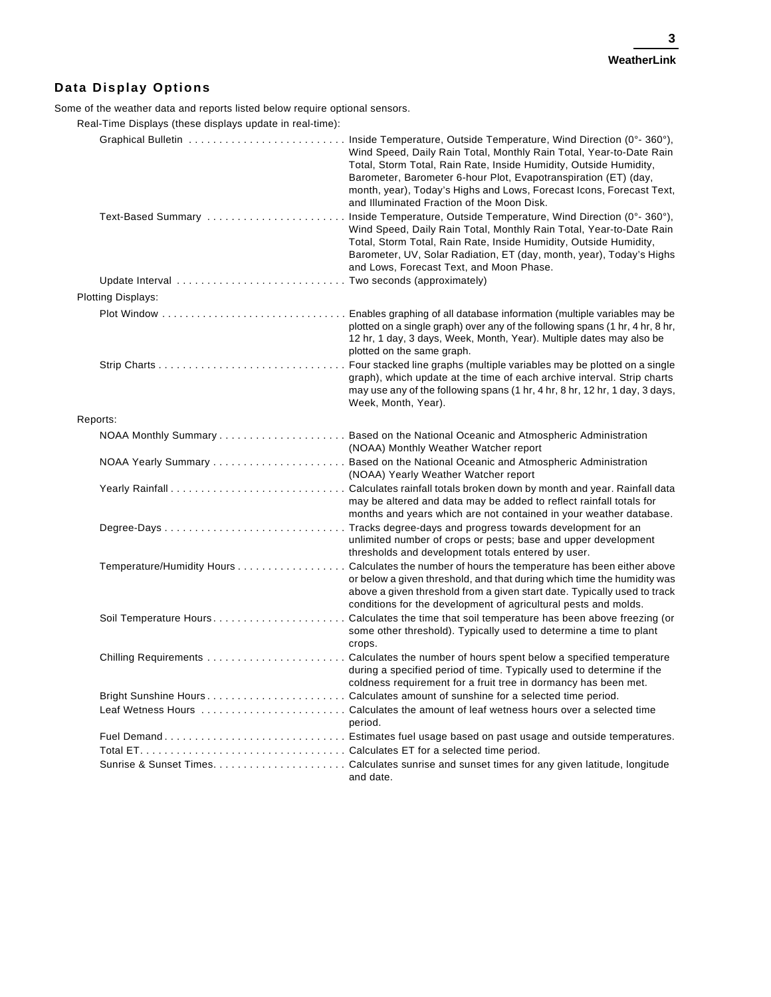### **Data Display Options**

Some of the weather data and reports listed below require optional sensors.

Real-Time Displays (these displays update in real-time):

|                           | Wind Speed, Daily Rain Total, Monthly Rain Total, Year-to-Date Rain<br>Total, Storm Total, Rain Rate, Inside Humidity, Outside Humidity,<br>Barometer, Barometer 6-hour Plot, Evapotranspiration (ET) (day,<br>month, year), Today's Highs and Lows, Forecast Icons, Forecast Text,<br>and Illuminated Fraction of the Moon Disk.  |
|---------------------------|------------------------------------------------------------------------------------------------------------------------------------------------------------------------------------------------------------------------------------------------------------------------------------------------------------------------------------|
| Text-Based Summary        | Inside Temperature, Outside Temperature, Wind Direction (0°-360°),<br>Wind Speed, Daily Rain Total, Monthly Rain Total, Year-to-Date Rain<br>Total, Storm Total, Rain Rate, Inside Humidity, Outside Humidity,<br>Barometer, UV, Solar Radiation, ET (day, month, year), Today's Highs<br>and Lows, Forecast Text, and Moon Phase. |
|                           |                                                                                                                                                                                                                                                                                                                                    |
| <b>Plotting Displays:</b> |                                                                                                                                                                                                                                                                                                                                    |
|                           | plotted on a single graph) over any of the following spans (1 hr, 4 hr, 8 hr,<br>12 hr, 1 day, 3 days, Week, Month, Year). Multiple dates may also be<br>plotted on the same graph.                                                                                                                                                |
|                           | graph), which update at the time of each archive interval. Strip charts<br>may use any of the following spans (1 hr, 4 hr, 8 hr, 12 hr, 1 day, 3 days,<br>Week, Month, Year).                                                                                                                                                      |
| Reports:                  |                                                                                                                                                                                                                                                                                                                                    |
|                           | (NOAA) Monthly Weather Watcher report                                                                                                                                                                                                                                                                                              |
|                           | (NOAA) Yearly Weather Watcher report                                                                                                                                                                                                                                                                                               |
|                           | may be altered and data may be added to reflect rainfall totals for<br>months and years which are not contained in your weather database.                                                                                                                                                                                          |
|                           | unlimited number of crops or pests; base and upper development<br>thresholds and development totals entered by user.                                                                                                                                                                                                               |
|                           | Temperature/Humidity Hours Calculates the number of hours the temperature has been either above<br>or below a given threshold, and that during which time the humidity was<br>above a given threshold from a given start date. Typically used to track<br>conditions for the development of agricultural pests and molds.          |
|                           | Soil Temperature HoursCalculates the time that soil temperature has been above freezing (or<br>some other threshold). Typically used to determine a time to plant<br>crops.                                                                                                                                                        |
|                           | during a specified period of time. Typically used to determine if the<br>coldness requirement for a fruit tree in dormancy has been met.                                                                                                                                                                                           |
|                           |                                                                                                                                                                                                                                                                                                                                    |
|                           | period.                                                                                                                                                                                                                                                                                                                            |
|                           |                                                                                                                                                                                                                                                                                                                                    |
|                           |                                                                                                                                                                                                                                                                                                                                    |
|                           | and date.                                                                                                                                                                                                                                                                                                                          |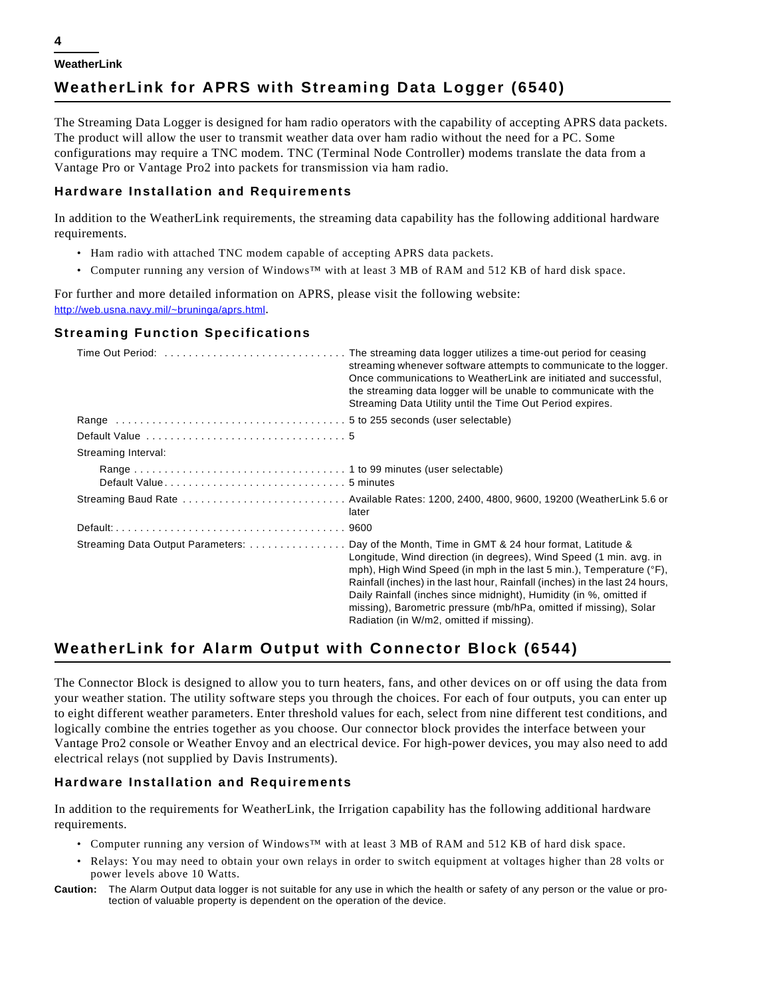# **WeatherLink for APRS with Streaming Data Logger (6540)**

The Streaming Data Logger is designed for ham radio operators with the capability of accepting APRS data packets. The product will allow the user to transmit weather data over ham radio without the need for a PC. Some configurations may require a TNC modem. TNC (Terminal Node Controller) modems translate the data from a Vantage Pro or Vantage Pro2 into packets for transmission via ham radio.

#### **Hardware Installation and Requirements**

In addition to the WeatherLink requirements, the streaming data capability has the following additional hardware requirements.

- Ham radio with attached TNC modem capable of accepting APRS data packets.
- Computer running any version of Windows™ with at least 3 MB of RAM and 512 KB of hard disk space.

For further and more detailed information on APRS, please visit the following website: http://web.usna.navy.mil/~bruninga/aprs.html.

#### **Streaming Function Specifications**

|                     | Time Out Period:  The streaming data logger utilizes a time-out period for ceasing<br>streaming whenever software attempts to communicate to the logger.<br>Once communications to WeatherLink are initiated and successful,<br>the streaming data logger will be unable to communicate with the<br>Streaming Data Utility until the Time Out Period expires.                                                                                                                                                       |
|---------------------|---------------------------------------------------------------------------------------------------------------------------------------------------------------------------------------------------------------------------------------------------------------------------------------------------------------------------------------------------------------------------------------------------------------------------------------------------------------------------------------------------------------------|
|                     |                                                                                                                                                                                                                                                                                                                                                                                                                                                                                                                     |
|                     |                                                                                                                                                                                                                                                                                                                                                                                                                                                                                                                     |
| Streaming Interval: |                                                                                                                                                                                                                                                                                                                                                                                                                                                                                                                     |
|                     |                                                                                                                                                                                                                                                                                                                                                                                                                                                                                                                     |
|                     |                                                                                                                                                                                                                                                                                                                                                                                                                                                                                                                     |
|                     | later                                                                                                                                                                                                                                                                                                                                                                                                                                                                                                               |
|                     |                                                                                                                                                                                                                                                                                                                                                                                                                                                                                                                     |
|                     | Streaming Data Output Parameters: Day of the Month, Time in GMT & 24 hour format, Latitude &<br>Longitude, Wind direction (in degrees), Wind Speed (1 min. avg. in<br>mph), High Wind Speed (in mph in the last 5 min.), Temperature $(°F)$ ,<br>Rainfall (inches) in the last hour, Rainfall (inches) in the last 24 hours,<br>Daily Rainfall (inches since midnight), Humidity (in %, omitted if<br>missing), Barometric pressure (mb/hPa, omitted if missing), Solar<br>Radiation (in W/m2, omitted if missing). |

# **WeatherLink for Alarm Output with Connector Block (6544)**

The Connector Block is designed to allow you to turn heaters, fans, and other devices on or off using the data from your weather station. The utility software steps you through the choices. For each of four outputs, you can enter up to eight different weather parameters. Enter threshold values for each, select from nine different test conditions, and logically combine the entries together as you choose. Our connector block provides the interface between your Vantage Pro2 console or Weather Envoy and an electrical device. For high-power devices, you may also need to add electrical relays (not supplied by Davis Instruments).

### **Hardware Installation and Requirements**

In addition to the requirements for WeatherLink, the Irrigation capability has the following additional hardware requirements.

- Computer running any version of Windows™ with at least 3 MB of RAM and 512 KB of hard disk space.
- Relays: You may need to obtain your own relays in order to switch equipment at voltages higher than 28 volts or power levels above 10 Watts.
- **Caution:** The Alarm Output data logger is not suitable for any use in which the health or safety of any person or the value or protection of valuable property is dependent on the operation of the device.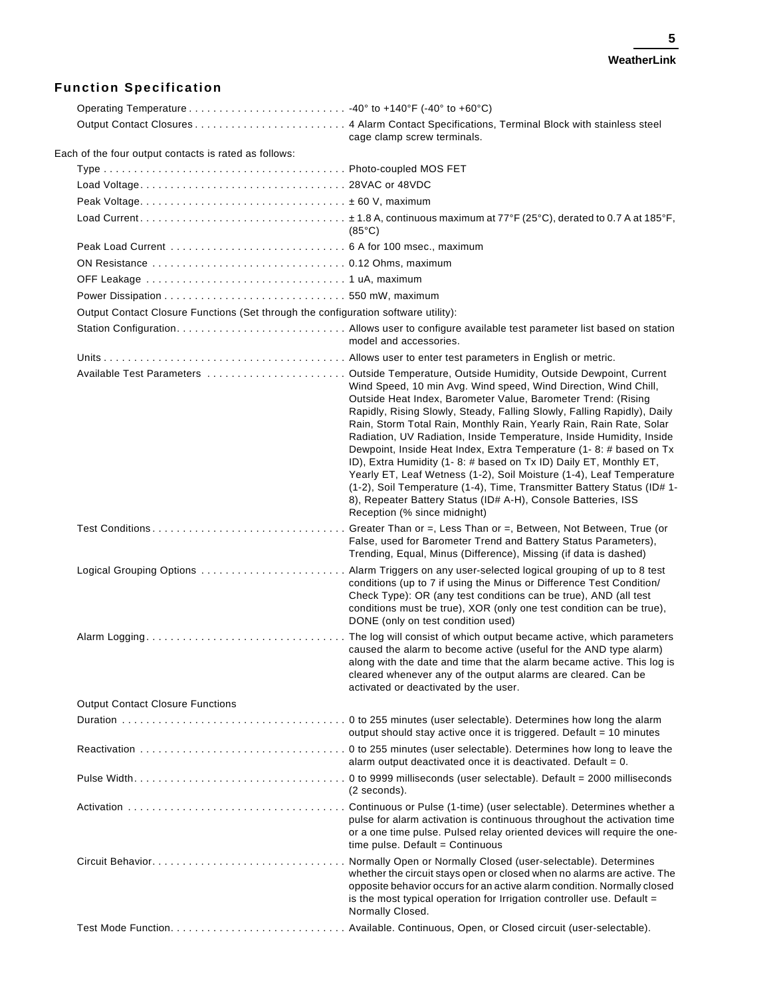### **Function Specification**

|                                                                                    | cage clamp screw terminals.                                                                                                                                                                                                                                                                                                                                                                                                                                                                                                                                                                                                                                                                                                                                                                                                                              |  |
|------------------------------------------------------------------------------------|----------------------------------------------------------------------------------------------------------------------------------------------------------------------------------------------------------------------------------------------------------------------------------------------------------------------------------------------------------------------------------------------------------------------------------------------------------------------------------------------------------------------------------------------------------------------------------------------------------------------------------------------------------------------------------------------------------------------------------------------------------------------------------------------------------------------------------------------------------|--|
| Each of the four output contacts is rated as follows:                              |                                                                                                                                                                                                                                                                                                                                                                                                                                                                                                                                                                                                                                                                                                                                                                                                                                                          |  |
|                                                                                    |                                                                                                                                                                                                                                                                                                                                                                                                                                                                                                                                                                                                                                                                                                                                                                                                                                                          |  |
|                                                                                    |                                                                                                                                                                                                                                                                                                                                                                                                                                                                                                                                                                                                                                                                                                                                                                                                                                                          |  |
|                                                                                    |                                                                                                                                                                                                                                                                                                                                                                                                                                                                                                                                                                                                                                                                                                                                                                                                                                                          |  |
|                                                                                    | $(85^{\circ}C)$                                                                                                                                                                                                                                                                                                                                                                                                                                                                                                                                                                                                                                                                                                                                                                                                                                          |  |
|                                                                                    |                                                                                                                                                                                                                                                                                                                                                                                                                                                                                                                                                                                                                                                                                                                                                                                                                                                          |  |
|                                                                                    |                                                                                                                                                                                                                                                                                                                                                                                                                                                                                                                                                                                                                                                                                                                                                                                                                                                          |  |
|                                                                                    |                                                                                                                                                                                                                                                                                                                                                                                                                                                                                                                                                                                                                                                                                                                                                                                                                                                          |  |
|                                                                                    |                                                                                                                                                                                                                                                                                                                                                                                                                                                                                                                                                                                                                                                                                                                                                                                                                                                          |  |
| Output Contact Closure Functions (Set through the configuration software utility): |                                                                                                                                                                                                                                                                                                                                                                                                                                                                                                                                                                                                                                                                                                                                                                                                                                                          |  |
|                                                                                    | model and accessories.                                                                                                                                                                                                                                                                                                                                                                                                                                                                                                                                                                                                                                                                                                                                                                                                                                   |  |
|                                                                                    |                                                                                                                                                                                                                                                                                                                                                                                                                                                                                                                                                                                                                                                                                                                                                                                                                                                          |  |
|                                                                                    | Available Test Parameters  Outside Temperature, Outside Humidity, Outside Dewpoint, Current<br>Wind Speed, 10 min Avg. Wind speed, Wind Direction, Wind Chill,<br>Outside Heat Index, Barometer Value, Barometer Trend: (Rising<br>Rapidly, Rising Slowly, Steady, Falling Slowly, Falling Rapidly), Daily<br>Rain, Storm Total Rain, Monthly Rain, Yearly Rain, Rain Rate, Solar<br>Radiation, UV Radiation, Inside Temperature, Inside Humidity, Inside<br>Dewpoint, Inside Heat Index, Extra Temperature (1-8: # based on Tx<br>ID), Extra Humidity (1-8: # based on Tx ID) Daily ET, Monthly ET,<br>Yearly ET, Leaf Wetness (1-2), Soil Moisture (1-4), Leaf Temperature<br>(1-2), Soil Temperature (1-4), Time, Transmitter Battery Status (ID# 1-<br>8), Repeater Battery Status (ID# A-H), Console Batteries, ISS<br>Reception (% since midnight) |  |
|                                                                                    | Test Conditions Greater Than or =, Less Than or =, Between, Not Between, True (or<br>False, used for Barometer Trend and Battery Status Parameters),<br>Trending, Equal, Minus (Difference), Missing (if data is dashed)                                                                                                                                                                                                                                                                                                                                                                                                                                                                                                                                                                                                                                 |  |
| Logical Grouping Options                                                           | . Alarm Triggers on any user-selected logical grouping of up to 8 test<br>conditions (up to 7 if using the Minus or Difference Test Condition/<br>Check Type): OR (any test conditions can be true), AND (all test<br>conditions must be true), XOR (only one test condition can be true),<br>DONE (only on test condition used)                                                                                                                                                                                                                                                                                                                                                                                                                                                                                                                         |  |
| Alarm Logging                                                                      | . The log will consist of which output became active, which parameters<br>caused the alarm to become active (useful for the AND type alarm)<br>along with the date and time that the alarm became active. This log is<br>cleared whenever any of the output alarms are cleared. Can be<br>activated or deactivated by the user.                                                                                                                                                                                                                                                                                                                                                                                                                                                                                                                          |  |
| <b>Output Contact Closure Functions</b>                                            |                                                                                                                                                                                                                                                                                                                                                                                                                                                                                                                                                                                                                                                                                                                                                                                                                                                          |  |
|                                                                                    | output should stay active once it is triggered. Default = 10 minutes                                                                                                                                                                                                                                                                                                                                                                                                                                                                                                                                                                                                                                                                                                                                                                                     |  |
|                                                                                    | alarm output deactivated once it is deactivated. Default = $0$ .                                                                                                                                                                                                                                                                                                                                                                                                                                                                                                                                                                                                                                                                                                                                                                                         |  |
|                                                                                    | (2 seconds).                                                                                                                                                                                                                                                                                                                                                                                                                                                                                                                                                                                                                                                                                                                                                                                                                                             |  |
|                                                                                    | pulse for alarm activation is continuous throughout the activation time<br>or a one time pulse. Pulsed relay oriented devices will require the one-<br>time pulse. Default = Continuous                                                                                                                                                                                                                                                                                                                                                                                                                                                                                                                                                                                                                                                                  |  |
|                                                                                    | Normally Open or Normally Closed (user-selectable). Determines<br>whether the circuit stays open or closed when no alarms are active. The<br>opposite behavior occurs for an active alarm condition. Normally closed<br>is the most typical operation for Irrigation controller use. Default =<br>Normally Closed.                                                                                                                                                                                                                                                                                                                                                                                                                                                                                                                                       |  |
|                                                                                    |                                                                                                                                                                                                                                                                                                                                                                                                                                                                                                                                                                                                                                                                                                                                                                                                                                                          |  |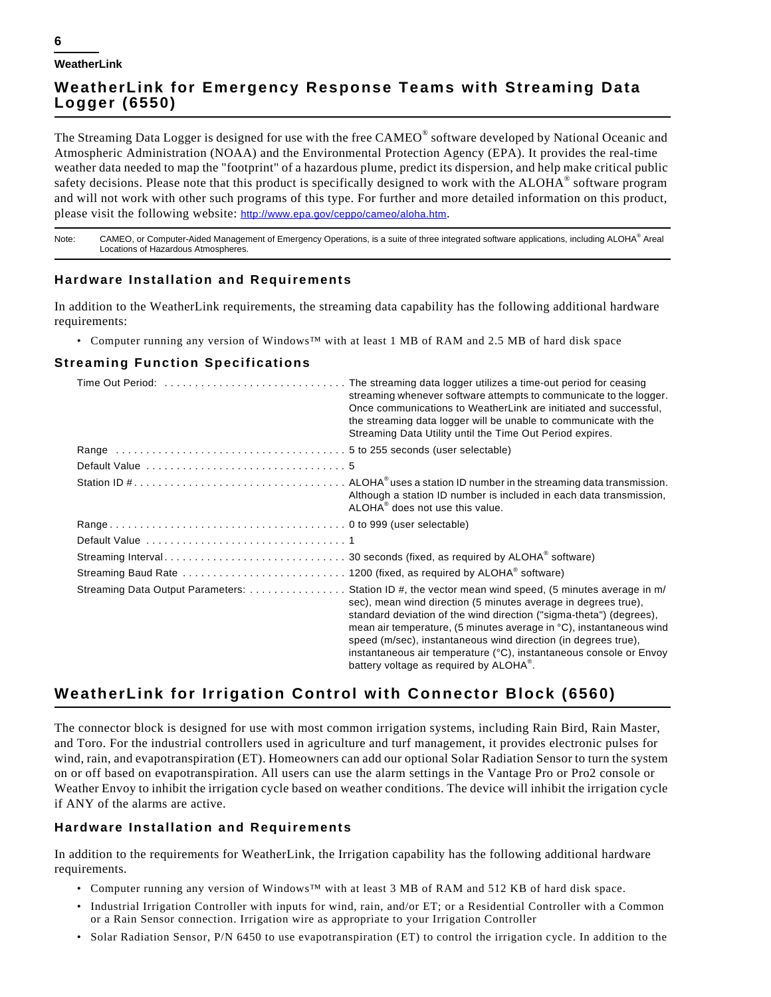# **WeatherLink for Emergency Response Teams with Streaming Data Logger (6550)**

The Streaming Data Logger is designed for use with the free CAMEO<sup>®</sup> software developed by National Oceanic and Atmospheric Administration (NOAA) and the Environmental Protection Agency (EPA). It provides the real-time weather data needed to map the "footprint" of a hazardous plume, predict its dispersion, and help make critical public safety decisions. Please note that this product is specifically designed to work with the ALOHA<sup>®</sup> software program and will not work with other such programs of this type. For further and more detailed information on this product, please visit the following website: http://www.epa.gov/ceppo/cameo/aloha.htm.

Note: CAMEO, or Computer-Aided Management of Emergency Operations, is a suite of three integrated software applications, including ALOHA® Areal Locations of Hazardous Atmospheres.

#### **Hardware Installation and Requirements**

In addition to the WeatherLink requirements, the streaming data capability has the following additional hardware requirements:

• Computer running any version of Windows™ with at least 1 MB of RAM and 2.5 MB of hard disk space

### **Streaming Function Specifications**

| Time Out Period:  The streaming data logger utilizes a time-out period for ceasing<br>streaming whenever software attempts to communicate to the logger.<br>Once communications to WeatherLink are initiated and successful,<br>the streaming data logger will be unable to communicate with the<br>Streaming Data Utility until the Time Out Period expires.                                                                                                                                                        |
|----------------------------------------------------------------------------------------------------------------------------------------------------------------------------------------------------------------------------------------------------------------------------------------------------------------------------------------------------------------------------------------------------------------------------------------------------------------------------------------------------------------------|
|                                                                                                                                                                                                                                                                                                                                                                                                                                                                                                                      |
|                                                                                                                                                                                                                                                                                                                                                                                                                                                                                                                      |
| Although a station ID number is included in each data transmission,<br>ALOHA <sup>®</sup> does not use this value.                                                                                                                                                                                                                                                                                                                                                                                                   |
|                                                                                                                                                                                                                                                                                                                                                                                                                                                                                                                      |
|                                                                                                                                                                                                                                                                                                                                                                                                                                                                                                                      |
|                                                                                                                                                                                                                                                                                                                                                                                                                                                                                                                      |
|                                                                                                                                                                                                                                                                                                                                                                                                                                                                                                                      |
| Streaming Data Output Parameters:  Station ID #, the vector mean wind speed, (5 minutes average in m/<br>sec), mean wind direction (5 minutes average in degrees true),<br>standard deviation of the wind direction ("sigma-theta") (degrees),<br>mean air temperature, (5 minutes average in °C), instantaneous wind<br>speed (m/sec), instantaneous wind direction (in degrees true),<br>instantaneous air temperature (°C), instantaneous console or Envoy<br>battery voltage as required by ALOHA <sup>®</sup> . |

# **WeatherLink for Irrigation Control with Connector Block (6560)**

The connector block is designed for use with most common irrigation systems, including Rain Bird, Rain Master, and Toro. For the industrial controllers used in agriculture and turf management, it provides electronic pulses for wind, rain, and evapotranspiration (ET). Homeowners can add our optional Solar Radiation Sensor to turn the system on or off based on evapotranspiration. All users can use the alarm settings in the Vantage Pro or Pro2 console or Weather Envoy to inhibit the irrigation cycle based on weather conditions. The device will inhibit the irrigation cycle if ANY of the alarms are active.

### **Hardware Installation and Requirements**

In addition to the requirements for WeatherLink, the Irrigation capability has the following additional hardware requirements.

- Computer running any version of Windows™ with at least 3 MB of RAM and 512 KB of hard disk space.
- Industrial Irrigation Controller with inputs for wind, rain, and/or ET; or a Residential Controller with a Common or a Rain Sensor connection. Irrigation wire as appropriate to your Irrigation Controller
- Solar Radiation Sensor, P/N 6450 to use evapotranspiration (ET) to control the irrigation cycle. In addition to the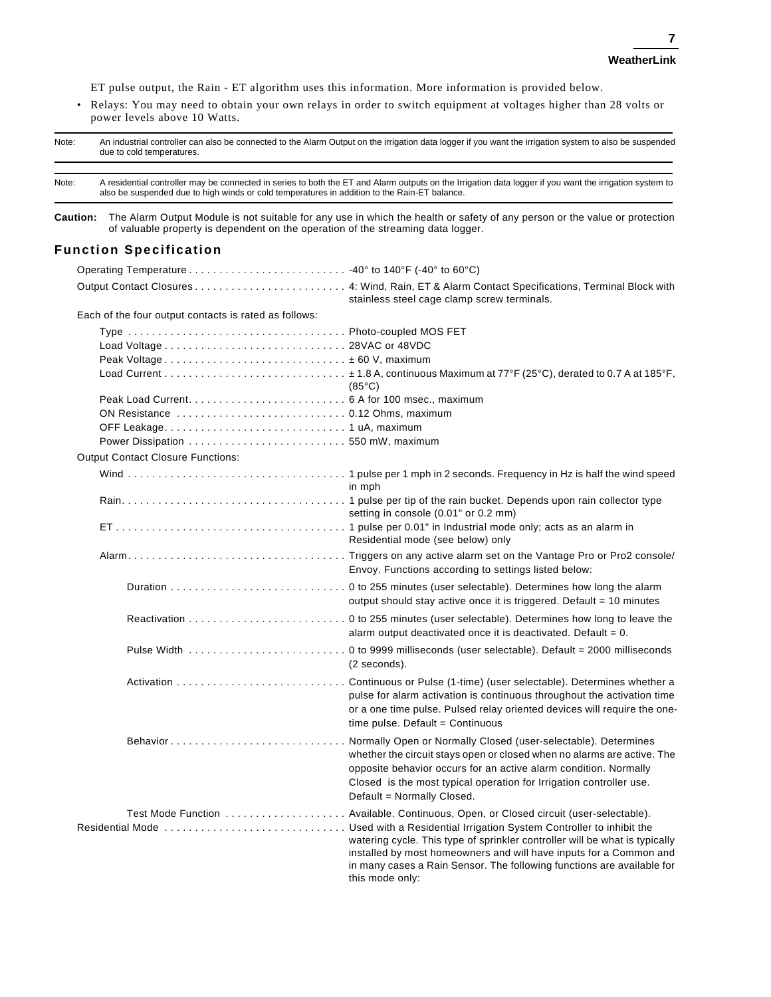ET pulse output, the Rain - ET algorithm uses this information. More information is provided below.

• Relays: You may need to obtain your own relays in order to switch equipment at voltages higher than 28 volts or power levels above 10 Watts.

| Note:           | An industrial controller can also be connected to the Alarm Output on the irrigation data logger if you want the irrigation system to also be suspended<br>due to cold temperatures.<br>A residential controller may be connected in series to both the ET and Alarm outputs on the Irrigation data logger if you want the irrigation system to<br>also be suspended due to high winds or cold temperatures in addition to the Rain-ET balance. |                                                                                                                                                                                                                                                                                                                    |  |
|-----------------|-------------------------------------------------------------------------------------------------------------------------------------------------------------------------------------------------------------------------------------------------------------------------------------------------------------------------------------------------------------------------------------------------------------------------------------------------|--------------------------------------------------------------------------------------------------------------------------------------------------------------------------------------------------------------------------------------------------------------------------------------------------------------------|--|
| Note:           |                                                                                                                                                                                                                                                                                                                                                                                                                                                 |                                                                                                                                                                                                                                                                                                                    |  |
| <b>Caution:</b> | of valuable property is dependent on the operation of the streaming data logger.                                                                                                                                                                                                                                                                                                                                                                | The Alarm Output Module is not suitable for any use in which the health or safety of any person or the value or protection                                                                                                                                                                                         |  |
|                 | <b>Function Specification</b>                                                                                                                                                                                                                                                                                                                                                                                                                   |                                                                                                                                                                                                                                                                                                                    |  |
|                 |                                                                                                                                                                                                                                                                                                                                                                                                                                                 |                                                                                                                                                                                                                                                                                                                    |  |
|                 |                                                                                                                                                                                                                                                                                                                                                                                                                                                 | stainless steel cage clamp screw terminals.                                                                                                                                                                                                                                                                        |  |
|                 | Each of the four output contacts is rated as follows:                                                                                                                                                                                                                                                                                                                                                                                           |                                                                                                                                                                                                                                                                                                                    |  |
|                 |                                                                                                                                                                                                                                                                                                                                                                                                                                                 | $(85^{\circ}C)$                                                                                                                                                                                                                                                                                                    |  |
|                 |                                                                                                                                                                                                                                                                                                                                                                                                                                                 |                                                                                                                                                                                                                                                                                                                    |  |
|                 |                                                                                                                                                                                                                                                                                                                                                                                                                                                 |                                                                                                                                                                                                                                                                                                                    |  |
|                 | <b>Output Contact Closure Functions:</b>                                                                                                                                                                                                                                                                                                                                                                                                        |                                                                                                                                                                                                                                                                                                                    |  |
|                 |                                                                                                                                                                                                                                                                                                                                                                                                                                                 | in mph                                                                                                                                                                                                                                                                                                             |  |
|                 |                                                                                                                                                                                                                                                                                                                                                                                                                                                 | setting in console (0.01" or 0.2 mm)                                                                                                                                                                                                                                                                               |  |
|                 |                                                                                                                                                                                                                                                                                                                                                                                                                                                 | Residential mode (see below) only                                                                                                                                                                                                                                                                                  |  |
|                 |                                                                                                                                                                                                                                                                                                                                                                                                                                                 | Envoy. Functions according to settings listed below:                                                                                                                                                                                                                                                               |  |
|                 |                                                                                                                                                                                                                                                                                                                                                                                                                                                 | output should stay active once it is triggered. Default = 10 minutes                                                                                                                                                                                                                                               |  |
|                 |                                                                                                                                                                                                                                                                                                                                                                                                                                                 | alarm output deactivated once it is deactivated. Default = $0$ .                                                                                                                                                                                                                                                   |  |
|                 |                                                                                                                                                                                                                                                                                                                                                                                                                                                 | (2 seconds).                                                                                                                                                                                                                                                                                                       |  |
|                 |                                                                                                                                                                                                                                                                                                                                                                                                                                                 | pulse for alarm activation is continuous throughout the activation time<br>or a one time pulse. Pulsed relay oriented devices will require the one-<br>time pulse. Default = Continuous                                                                                                                            |  |
|                 | Behavior                                                                                                                                                                                                                                                                                                                                                                                                                                        | Normally Open or Normally Closed (user-selectable). Determines<br>whether the circuit stays open or closed when no alarms are active. The<br>opposite behavior occurs for an active alarm condition. Normally<br>Closed is the most typical operation for Irrigation controller use.<br>Default = Normally Closed. |  |
|                 |                                                                                                                                                                                                                                                                                                                                                                                                                                                 | watering cycle. This type of sprinkler controller will be what is typically<br>installed by most homeowners and will have inputs for a Common and<br>in many cases a Rain Sensor. The following functions are available for<br>this mode only:                                                                     |  |